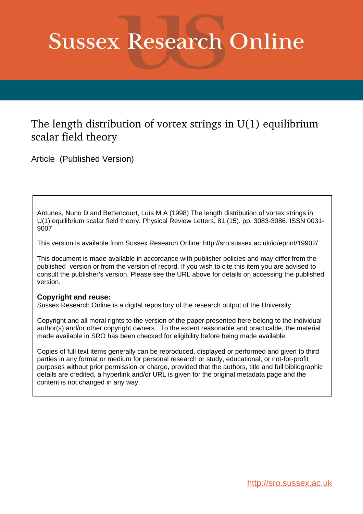## **Sussex Research Online**

## The length distribution of vortex strings in U(1) equilibrium scalar field theory

Article (Published Version)

Antunes, Nuno D and Bettencourt, Luís M A (1998) The length distribution of vortex strings in U(1) equilibrium scalar field theory. Physical Review Letters, 81 (15). pp. 3083-3086. ISSN 0031- 9007

This version is available from Sussex Research Online: http://sro.sussex.ac.uk/id/eprint/19902/

This document is made available in accordance with publisher policies and may differ from the published version or from the version of record. If you wish to cite this item you are advised to consult the publisher's version. Please see the URL above for details on accessing the published version.

## **Copyright and reuse:**

Sussex Research Online is a digital repository of the research output of the University.

Copyright and all moral rights to the version of the paper presented here belong to the individual author(s) and/or other copyright owners. To the extent reasonable and practicable, the material made available in SRO has been checked for eligibility before being made available.

Copies of full text items generally can be reproduced, displayed or performed and given to third parties in any format or medium for personal research or study, educational, or not-for-profit purposes without prior permission or charge, provided that the authors, title and full bibliographic details are credited, a hyperlink and/or URL is given for the original metadata page and the content is not changed in any way.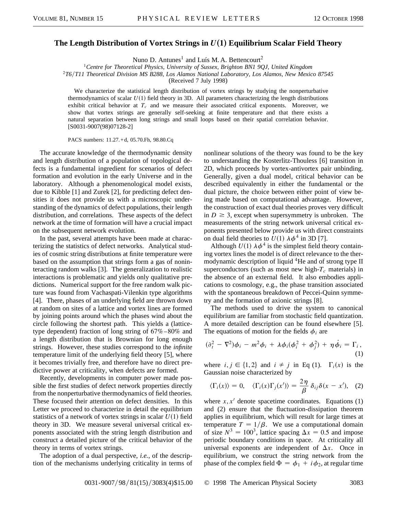## **The Length Distribution of Vortex Strings in**  $U(1)$  **Equilibrium Scalar Field Theory**

Nuno D. Antunes<sup>1</sup> and Luís M. A. Bettencourt<sup>2</sup>

<sup>1</sup>*Centre for Theoretical Physics, University of Sussex, Brighton BN1 9QJ, United Kingdom*

<sup>2</sup>*T6*y*T11 Theoretical Division MS B288, Los Alamos National Laboratory, Los Alamos, New Mexico 87545*

(Received 7 July 1998)

We characterize the statistical length distribution of vortex strings by studying the nonperturbative thermodynamics of scalar  $U(1)$  field theory in 3D. All parameters characterizing the length distributions exhibit critical behavior at  $T_c$  and we measure their associated critical exponents. Moreover, we show that vortex strings are generally self-seeking at finite temperature and that there exists a natural separation between long strings and small loops based on their spatial correlation behavior. [S0031-9007(98)07128-2]

PACS numbers: 11.27. + d, 05.70.Fh, 98.80.Cq

The accurate knowledge of the thermodynamic density and length distribution of a population of topological defects is a fundamental ingredient for scenarios of defect formation and evolution in the early Universe and in the laboratory. Although a phenomenological model exists, due to Kibble [1] and Zurek [2], for predicting defect densities it does not provide us with a microscopic understanding of the dynamics of defect populations, their length distribution, and correlations. These aspects of the defect network at the time of formation will have a crucial impact on the subsequent network evolution.

In the past, several attempts have been made at characterizing the statistics of defect networks. Analytical studies of cosmic string distributions at finite temperature were based on the assumption that strings form a gas of noninteracting random walks [3]. The generalization to realistic interactions is problematic and yields only qualitative predictions. Numerical support for the free random walk picture was found from Vachaspati-Vilenkin type algorithms [4]. There, phases of an underlying field are thrown down at random on sites of a lattice and vortex lines are formed by joining points around which the phases wind about the circle following the shortest path. This yields a (latticetype dependent) fraction of long string of  $67\% - 80\%$  and a length distribution that is Brownian for long enough strings. However, these studies correspond to the *infinite* temperature limit of the underlying field theory [5], where it becomes trivially free, and therefore have no direct predictive power at criticality, when defects are formed.

Recently, developments in computer power made possible the first studies of defect network properties directly from the nonperturbative thermodynamics of field theories. These focused their attention on defect densities. In this Letter we proceed to characterize in detail the equilibrium statistics of a network of vortex strings in scalar  $U(1)$  field theory in 3D. We measure several universal critical exponents associated with the string length distribution and construct a detailed picture of the critical behavior of the theory in terms of vortex strings.

The adoption of a dual perspective, *i.e.*, of the description of the mechanisms underlying criticality in terms of

nonlinear solutions of the theory was found to be the key to understanding the Kosterlitz-Thouless [6] transition in 2D, which proceeds by vortex-antivortex pair unbinding. Generally, given a dual model, critical behavior can be described equivalently in either the fundamental or the dual picture, the choice between either point of view being made based on computational advantage. However, the construction of exact dual theories proves very difficult in  $D \geq 3$ , except when supersymmetry is unbroken. The measurements of the string network universal critical exponents presented below provide us with direct constraints on dual field theories to  $U(1)$   $\lambda \phi^4$  in 3D [7].

Although  $U(1)$   $\lambda \phi^4$  is the simplest field theory containing vortex lines the model is of direct relevance to the thermodynamic description of liquid <sup>4</sup>He and of strong type II superconductors (such as most new high- $T_c$  materials) in the absence of an external field. It also embodies applications to cosmology, e.g., the phase transition associated with the spontaneous breakdown of Peccei-Quinn symmetry and the formation of axionic strings [8].

The methods used to drive the system to canonical equilibrium are familiar from stochastic field quantization. A more detailed description can be found elsewhere [5]. The equations of motion for the fields  $\phi_i$  are

$$
(\partial_t^2 - \nabla^2)\phi_i - m^2\phi_i + \lambda\phi_i(\phi_i^2 + \phi_j^2) + \eta\dot{\phi}_i = \Gamma_i,
$$
\n(1)

where  $i, j \in \{1, 2\}$  and  $i \neq j$  in Eq (1).  $\Gamma_i(x)$  is the Gaussian noise characterized by

$$
\langle \Gamma_i(x) \rangle = 0, \quad \langle \Gamma_i(x) \Gamma_j(x') \rangle = \frac{2\eta}{\beta} \, \delta_{ij} \delta(x - x'), \quad (2)
$$

where  $x, x'$  denote spacetime coordinates. Equations (1) and (2) ensure that the fluctuation-dissipation theorem applies in equilibrium, which will result for large times at temperature  $T = 1/\beta$ . We use a computational domain of size  $N^3 = 100^3$ , lattice spacing  $\Delta x = 0.5$  and impose periodic boundary conditions in space. At criticality all universal exponents are independent of  $\Delta x$ . Once in equilibrium, we construct the string network from the phase of the complex field  $\Phi = \phi_1 + i \phi_2$ , at regular time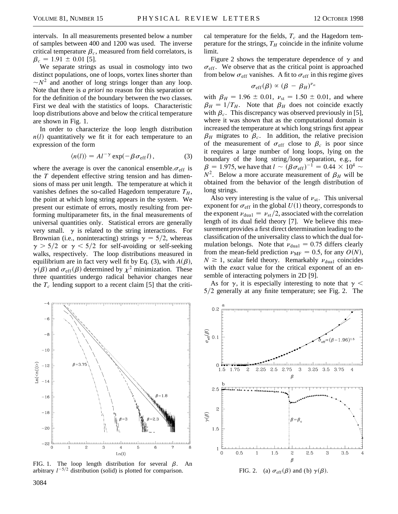intervals. In all measurements presented below a number of samples between 400 and 1200 was used. The inverse critical temperature  $\beta_c$ , measured from field correlators, is  $\beta_c = 1.91 \pm 0.01$  [5].

We separate strings as usual in cosmology into two distinct populations, one of loops, vortex lines shorter than  $\sim N^2$  and another of long strings longer than any loop. Note that there is *a priori* no reason for this separation or for the definition of the boundary between the two classes. First we deal with the statistics of loops. Characteristic loop distributions above and below the critical temperature are shown in Fig. 1.

In order to characterize the loop length distribution  $n(l)$  quantitatively we fit it for each temperature to an expression of the form

$$
\langle n(l) \rangle = A l^{-\gamma} \exp(-\beta \sigma_{\text{eff}} l), \qquad (3)
$$

where the average is over the canonical ensemble.  $\sigma_{\text{eff}}$  is the *T* dependent effective string tension and has dimensions of mass per unit length. The temperature at which it vanishes defines the so-called Hagedorn temperature  $T_H$ , the point at which long string appears in the system. We present our estimate of errors, mostly resulting from performing multiparameter fits, in the final measurements of universal quantities only. Statistical errors are generally very small.  $\gamma$  is related to the string interactions. For Brownian (i.e., noninteracting) strings  $\gamma = 5/2$ , whereas  $\gamma > 5/2$  or  $\gamma < 5/2$  for self-avoiding or self-seeking walks, respectively. The loop distributions measured in equilibrium are in fact very well fit by Eq. (3), with  $A(\beta)$ ,  $\gamma(\beta)$  and  $\sigma_{\rm eff}(\beta)$  determined by  $\chi^2$  minimization. These three quantities undergo radical behavior changes near the  $T_c$  lending support to a recent claim [5] that the criti-



FIG. 1. The loop length distribution for several  $\beta$ . An arbitrary  $l^{-5/2}$  distribution (solid) is plotted for comparison.

cal temperature for the fields,  $T_c$  and the Hagedorn temperature for the strings,  $T_H$  coincide in the infinite volume limit.

Figure 2 shows the temperature dependence of  $\gamma$  and  $\sigma_{\text{eff}}$ . We observe that as the critical point is approached from below  $\sigma_{\rm eff}$  vanishes. A fit to  $\sigma_{\rm eff}$  in this regime gives

$$
\sigma_{\rm eff}(\beta) \propto (\beta - \beta_H)^{\nu_{\rm st}}
$$

with  $\beta_H = 1.96 \pm 0.01$ ,  $\nu_{st} = 1.50 \pm 0.01$ , and where  $\beta_H = 1/T_H$ . Note that  $\beta_H$  does not coincide exactly with  $\beta_c$ . This discrepancy was observed previously in [5], where it was shown that as the computational domain is increased the temperature at which long strings first appear  $\beta_H$  migrates to  $\beta_c$ . In addition, the relative precision of the measurement of  $\sigma_{\text{eff}}$  close to  $\beta_c$  is poor since it requires a large number of long loops, lying on the boundary of the long string/loop separation, e.g., for  $\beta = 1.975$ , we have that  $l \sim (\beta \sigma_{\rm eff})^{-1} = 0.44 \times 10^4 \sim$  $N^2$ . Below a more accurate measurement of  $\beta_H$  will be obtained from the behavior of the length distribution of long strings.

Also very interesting is the value of  $v_{\text{st}}$ . This universal exponent for  $\sigma_{\text{eff}}$  in the global  $U(1)$  theory, corresponds to the exponent  $\nu_{\text{dual}} = \nu_{\text{st}}/2$ , associated with the correlation length of its dual field theory [7]. We believe this measurement provides a first direct determination leading to the classification of the universality class to which the dual formulation belongs. Note that  $v_{\text{dual}} = 0.75$  differs clearly from the mean-field prediction  $\nu_{MF} = 0.5$ , for any  $O(N)$ ,  $N \geq 1$ , scalar field theory. Remarkably  $\nu_{\text{dual}}$  coincides with the *exact* value for the critical exponent of an ensemble of interacting polymers in 2D [9].

As for  $\gamma$ , it is especially interesting to note that  $\gamma$  <  $5/2$  generally at any finite temperature; see Fig. 2. The



FIG. 2. (a)  $\sigma_{\rm eff}(\beta)$  and (b)  $\gamma(\beta)$ .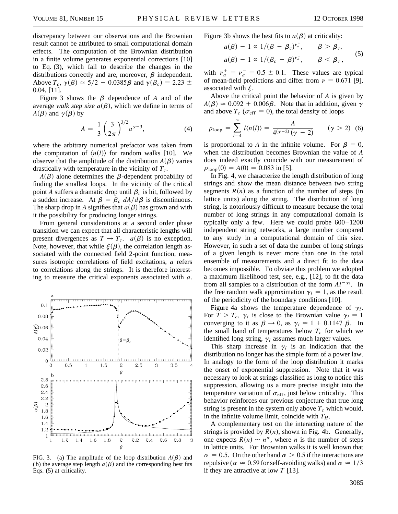discrepancy between our observations and the Brownian result cannot be attributed to small computational domain effects. The computation of the Brownian distribution in a finite volume generates exponential corrections [10] to Eq. (3), which fail to describe the changes in the distributions correctly and are, moreover,  $\beta$  independent. Above  $T_c$ ,  $\gamma(\beta) \approx 5/2 - 0.0385\beta$  and  $\gamma(\beta_c) = 2.23 \pm$ 0.04, [11].

Figure 3 shows the  $\beta$  dependence of *A* and of the average *walk step size*  $a(\beta)$ , which we define in terms of  $A(\beta)$  and  $\gamma(\beta)$  by

$$
A = \frac{1}{3} \left(\frac{3}{2\pi}\right)^{3/2} a^{\gamma - 3},\tag{4}
$$

where the arbitrary numerical prefactor was taken from the computation of  $\langle n(l) \rangle$  for random walks [10]. We observe that the amplitude of the distribution  $A(\beta)$  varies drastically with temperature in the vicinity of  $T_c$ .

 $A(\beta)$  alone determines the  $\beta$ -dependent probability of finding the smallest loops. In the vicinity of the critical point *A* suffers a dramatic drop until  $\beta_c$  is hit, followed by a sudden increase. At  $\beta = \beta_c dA/d\beta$  is discontinuous. The sharp drop in *A* signifies that  $a(\beta)$  has grown and with it the possibility for producing longer strings.

From general considerations at a second order phase transition we can expect that all characteristic lengths will present divergences as  $T \to T_c$ .  $a(\beta)$  is no exception. Note, however, that while  $\xi(\beta)$ , the correlation length associated with the connected field 2-point function, measures isotropic correlations of field excitations, *a* refers to correlations along the strings. It is therefore interesting to measure the critical exponents associated with *a*.



FIG. 3. (a) The amplitude of the loop distribution  $A(\beta)$  and (b) the average step length  $a(\beta)$  and the corresponding best fits Eqs. (5) at criticality.

Figure 3b shows the best fits to  $a(\beta)$  at criticality:

$$
a(\beta) - 1 \propto 1/(\beta - \beta_c)^{v_a^+}, \qquad \beta > \beta_c,
$$
  

$$
a(\beta) - 1 \propto 1/(\beta_c - \beta)^{v_a^-}, \qquad \beta < \beta_c,
$$
 (5)

with  $v_a^+ = v_a^- = 0.5 \pm 0.1$ . These values are typical of mean-field predictions and differ from  $\nu = 0.671$  [9], associated with  $\xi$ .

Above the critical point the behavior of *A* is given by  $A(\beta) \approx 0.092 + 0.006\beta$ . Note that in addition, given  $\gamma$ and above  $T_c$  ( $\sigma_{\text{eff}} = 0$ ), the total density of loops

$$
\rho_{\text{loop}} = \sum_{l=4}^{\infty} l \langle n(l) \rangle = \frac{A}{4(\gamma - 2)(\gamma - 2)} \qquad (\gamma > 2) \tag{6}
$$

is proportional to A in the infinite volume. For  $\beta = 0$ , when the distribution becomes Brownian the value of *A* does indeed exactly coincide with our measurement of  $\rho_{\text{loop}}(0) = A(0) = 0.083$  in [5].

In Fig. 4, we characterize the length distribution of long strings and show the mean distance between two string segments  $R(n)$  as a function of the number of steps (in lattice units) along the string. The distribution of long string, is notoriously difficult to measure because the total number of long strings in any computational domain is typically only a few. Here we could probe 600–1200 independent string networks, a large number compared to any study in a computational domain of this size. However, in such a set of data the number of long strings of a given length is never more than one in the total ensemble of measurements and a direct fit to the data becomes impossible. To obviate this problem we adopted a maximum likelihood test, see, e.g., [12], to fit the data from all samples to a distribution of the form  $Al^{-\gamma_l}$ . In the free random walk approximation  $\gamma_l = 1$ , as the result of the periodicity of the boundary conditions [10].

Figure 4a shows the temperature dependence of  $\gamma_l$ . For  $T > T_c$ ,  $\gamma_l$  is close to the Brownian value  $\gamma_l = 1$ converging to it as  $\beta \to 0$ , as  $\gamma_l \approx 1 + 0.1147 \beta$ . In the small band of temperatures below  $T_c$  for which we identified long string,  $\gamma_l$  assumes much larger values.

This sharp increase in  $\gamma_l$  is an indication that the distribution no longer has the simple form of a power law. In analogy to the form of the loop distribution it marks the onset of exponential suppression. Note that it was necessary to look at strings classified as long to notice this suppression, allowing us a more precise insight into the temperature variation of  $\sigma_{\text{eff}}$ , just below criticality. This behavior reinforces our previous conjecture that true long string is present in the system only above  $T_c$  which would, in the infinite volume limit, coincide with  $T_H$ .

A complementary test on the interacting nature of the strings is provided by  $R(n)$ , shown in Fig. 4b. Generally, one expects  $R(n) \sim n^{\alpha}$ , where *n* is the number of steps in lattice units. For Brownian walks it is well known that  $\alpha = 0.5$ . On the other hand  $\alpha > 0.5$  if the interactions are repulsive ( $\alpha \approx 0.59$  for self-avoiding walks) and  $\alpha \approx 1/3$ if they are attractive at low *T* [13].